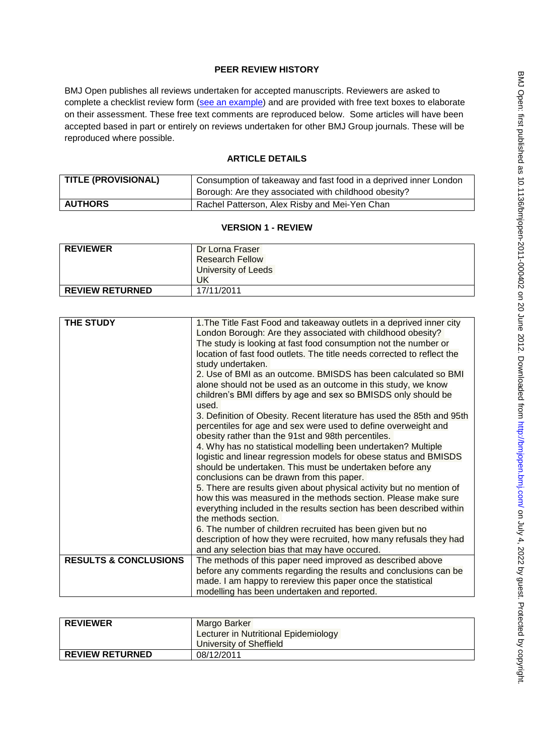## **PEER REVIEW HISTORY**

BMJ Open publishes all reviews undertaken for accepted manuscripts. Reviewers are asked to complete a checklist review form [\(see an example\)](http://bmjopen.bmj.com/site/about/resources/ScholarOne_Manuscripts.pdf) and are provided with free text boxes to elaborate on their assessment. These free text comments are reproduced below. Some articles will have been accepted based in part or entirely on reviews undertaken for other BMJ Group journals. These will be reproduced where possible.

## **ARTICLE DETAILS**

| <b>TITLE (PROVISIONAL)</b> | Consumption of takeaway and fast food in a deprived inner London<br>Borough: Are they associated with childhood obesity? |
|----------------------------|--------------------------------------------------------------------------------------------------------------------------|
| <b>AUTHORS</b>             | Rachel Patterson, Alex Risby and Mei-Yen Chan                                                                            |

## **VERSION 1 - REVIEW**

| <b>REVIEWER</b>        | Dr Lorna Fraser        |
|------------------------|------------------------|
|                        | <b>Research Fellow</b> |
|                        | University of Leeds    |
|                        | UK                     |
| <b>REVIEW RETURNED</b> | 17/11/2011             |

| <b>THE STUDY</b>                 | 1. The Title Fast Food and takeaway outlets in a deprived inner city<br>London Borough: Are they associated with childhood obesity?                                                            |
|----------------------------------|------------------------------------------------------------------------------------------------------------------------------------------------------------------------------------------------|
|                                  | The study is looking at fast food consumption not the number or                                                                                                                                |
|                                  | location of fast food outlets. The title needs corrected to reflect the<br>study undertaken.                                                                                                   |
|                                  | 2. Use of BMI as an outcome. BMISDS has been calculated so BMI                                                                                                                                 |
|                                  | alone should not be used as an outcome in this study, we know<br>children's BMI differs by age and sex so BMISDS only should be                                                                |
|                                  | used.                                                                                                                                                                                          |
|                                  | 3. Definition of Obesity. Recent literature has used the 85th and 95th<br>percentiles for age and sex were used to define overweight and<br>obesity rather than the 91st and 98th percentiles. |
|                                  | 4. Why has no statistical modelling been undertaken? Multiple                                                                                                                                  |
|                                  | logistic and linear regression models for obese status and BMISDS                                                                                                                              |
|                                  |                                                                                                                                                                                                |
|                                  | should be undertaken. This must be undertaken before any                                                                                                                                       |
|                                  | conclusions can be drawn from this paper.                                                                                                                                                      |
|                                  | 5. There are results given about physical activity but no mention of<br>how this was measured in the methods section. Please make sure                                                         |
|                                  | everything included in the results section has been described within                                                                                                                           |
|                                  | the methods section.                                                                                                                                                                           |
|                                  | 6. The number of children recruited has been given but no                                                                                                                                      |
|                                  | description of how they were recruited, how many refusals they had                                                                                                                             |
|                                  | and any selection bias that may have occured.                                                                                                                                                  |
| <b>RESULTS &amp; CONCLUSIONS</b> | The methods of this paper need improved as described above                                                                                                                                     |
|                                  | before any comments regarding the results and conclusions can be                                                                                                                               |
|                                  | made. I am happy to rereview this paper once the statistical                                                                                                                                   |
|                                  | modelling has been undertaken and reported.                                                                                                                                                    |

| <b>REVIEWER</b>        | Margo Barker                         |
|------------------------|--------------------------------------|
|                        | Lecturer in Nutritional Epidemiology |
|                        | University of Sheffield              |
| <b>REVIEW RETURNED</b> | 08/12/2011                           |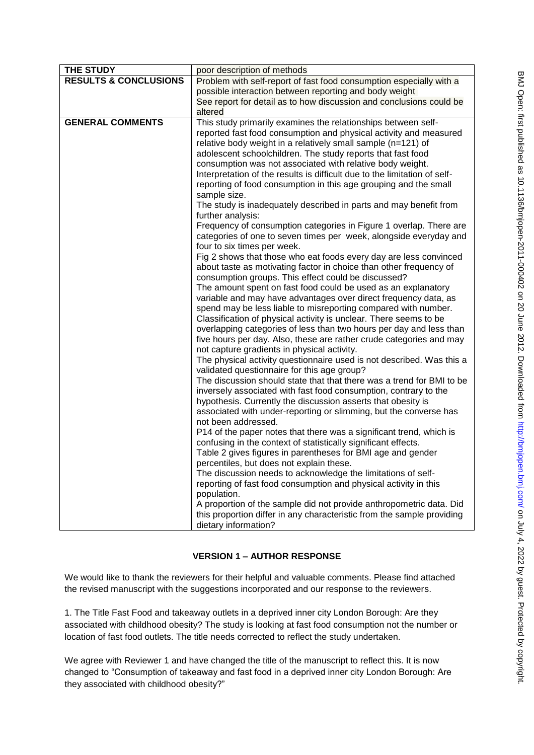| e<br>J | BMJ Open: first published as 10.1136/bmjopen-2011-000402 on 20 June 2012. Downloaded from http://bmj. |
|--------|-------------------------------------------------------------------------------------------------------|
|        |                                                                                                       |
| a<br>e |                                                                                                       |
|        |                                                                                                       |
|        |                                                                                                       |
|        | pen.bmj.com/ on July 4, 2022 by guest. Protected by copyright                                         |
|        |                                                                                                       |
|        |                                                                                                       |

| THE STUDY                        | poor description of methods                                                                                                       |
|----------------------------------|-----------------------------------------------------------------------------------------------------------------------------------|
| <b>RESULTS &amp; CONCLUSIONS</b> | Problem with self-report of fast food consumption especially with a                                                               |
|                                  | possible interaction between reporting and body weight                                                                            |
|                                  | See report for detail as to how discussion and conclusions could be                                                               |
|                                  | altered                                                                                                                           |
| <b>GENERAL COMMENTS</b>          | This study primarily examines the relationships between self-                                                                     |
|                                  | reported fast food consumption and physical activity and measured                                                                 |
|                                  | relative body weight in a relatively small sample (n=121) of                                                                      |
|                                  | adolescent schoolchildren. The study reports that fast food                                                                       |
|                                  | consumption was not associated with relative body weight.                                                                         |
|                                  | Interpretation of the results is difficult due to the limitation of self-                                                         |
|                                  | reporting of food consumption in this age grouping and the small                                                                  |
|                                  | sample size.                                                                                                                      |
|                                  | The study is inadequately described in parts and may benefit from                                                                 |
|                                  | further analysis:                                                                                                                 |
|                                  | Frequency of consumption categories in Figure 1 overlap. There are                                                                |
|                                  | categories of one to seven times per week, alongside everyday and                                                                 |
|                                  | four to six times per week.                                                                                                       |
|                                  | Fig 2 shows that those who eat foods every day are less convinced                                                                 |
|                                  | about taste as motivating factor in choice than other frequency of                                                                |
|                                  | consumption groups. This effect could be discussed?                                                                               |
|                                  | The amount spent on fast food could be used as an explanatory                                                                     |
|                                  | variable and may have advantages over direct frequency data, as<br>spend may be less liable to misreporting compared with number. |
|                                  | Classification of physical activity is unclear. There seems to be                                                                 |
|                                  | overlapping categories of less than two hours per day and less than                                                               |
|                                  | five hours per day. Also, these are rather crude categories and may                                                               |
|                                  | not capture gradients in physical activity.                                                                                       |
|                                  | The physical activity questionnaire used is not described. Was this a                                                             |
|                                  | validated questionnaire for this age group?                                                                                       |
|                                  | The discussion should state that that there was a trend for BMI to be                                                             |
|                                  | inversely associated with fast food consumption, contrary to the                                                                  |
|                                  | hypothesis. Currently the discussion asserts that obesity is                                                                      |
|                                  | associated with under-reporting or slimming, but the converse has                                                                 |
|                                  | not been addressed.                                                                                                               |
|                                  | P14 of the paper notes that there was a significant trend, which is                                                               |
|                                  | confusing in the context of statistically significant effects.                                                                    |
|                                  | Table 2 gives figures in parentheses for BMI age and gender                                                                       |
|                                  | percentiles, but does not explain these.                                                                                          |
|                                  | The discussion needs to acknowledge the limitations of self-                                                                      |
|                                  | reporting of fast food consumption and physical activity in this                                                                  |
|                                  | population.                                                                                                                       |
|                                  | A proportion of the sample did not provide anthropometric data. Did                                                               |
|                                  | this proportion differ in any characteristic from the sample providing                                                            |
|                                  | dietary information?                                                                                                              |

# **VERSION 1 – AUTHOR RESPONSE**

We would like to thank the reviewers for their helpful and valuable comments. Please find attached the revised manuscript with the suggestions incorporated and our response to the reviewers.

1. The Title Fast Food and takeaway outlets in a deprived inner city London Borough: Are they associated with childhood obesity? The study is looking at fast food consumption not the number or location of fast food outlets. The title needs corrected to reflect the study undertaken.

We agree with Reviewer 1 and have changed the title of the manuscript to reflect this. It is now changed to "Consumption of takeaway and fast food in a deprived inner city London Borough: Are they associated with childhood obesity?"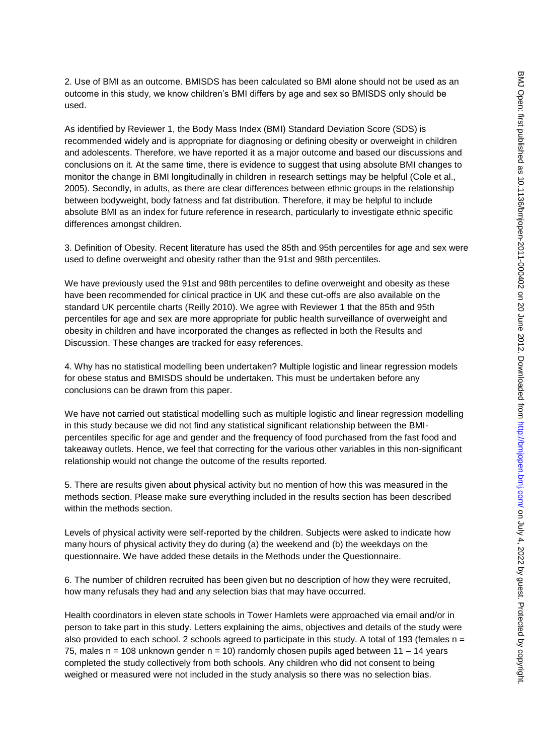2. Use of BMI as an outcome. BMISDS has been calculated so BMI alone should not be used as an outcome in this study, we know children's BMI differs by age and sex so BMISDS only should be used.

As identified by Reviewer 1, the Body Mass Index (BMI) Standard Deviation Score (SDS) is recommended widely and is appropriate for diagnosing or defining obesity or overweight in children and adolescents. Therefore, we have reported it as a major outcome and based our discussions and conclusions on it. At the same time, there is evidence to suggest that using absolute BMI changes to monitor the change in BMI longitudinally in children in research settings may be helpful (Cole et al., 2005). Secondly, in adults, as there are clear differences between ethnic groups in the relationship between bodyweight, body fatness and fat distribution. Therefore, it may be helpful to include absolute BMI as an index for future reference in research, particularly to investigate ethnic specific differences amongst children.

3. Definition of Obesity. Recent literature has used the 85th and 95th percentiles for age and sex were used to define overweight and obesity rather than the 91st and 98th percentiles.

We have previously used the 91st and 98th percentiles to define overweight and obesity as these have been recommended for clinical practice in UK and these cut-offs are also available on the standard UK percentile charts (Reilly 2010). We agree with Reviewer 1 that the 85th and 95th percentiles for age and sex are more appropriate for public health surveillance of overweight and obesity in children and have incorporated the changes as reflected in both the Results and Discussion. These changes are tracked for easy references.

4. Why has no statistical modelling been undertaken? Multiple logistic and linear regression models for obese status and BMISDS should be undertaken. This must be undertaken before any conclusions can be drawn from this paper.

We have not carried out statistical modelling such as multiple logistic and linear regression modelling in this study because we did not find any statistical significant relationship between the BMIpercentiles specific for age and gender and the frequency of food purchased from the fast food and takeaway outlets. Hence, we feel that correcting for the various other variables in this non-significant relationship would not change the outcome of the results reported.

5. There are results given about physical activity but no mention of how this was measured in the methods section. Please make sure everything included in the results section has been described within the methods section.

Levels of physical activity were self-reported by the children. Subjects were asked to indicate how many hours of physical activity they do during (a) the weekend and (b) the weekdays on the questionnaire. We have added these details in the Methods under the Questionnaire.

6. The number of children recruited has been given but no description of how they were recruited, how many refusals they had and any selection bias that may have occurred.

Health coordinators in eleven state schools in Tower Hamlets were approached via email and/or in person to take part in this study. Letters explaining the aims, objectives and details of the study were also provided to each school. 2 schools agreed to participate in this study. A total of 193 (females  $n =$ 75, males  $n = 108$  unknown gender  $n = 10$ ) randomly chosen pupils aged between  $11 - 14$  years completed the study collectively from both schools. Any children who did not consent to being weighed or measured were not included in the study analysis so there was no selection bias.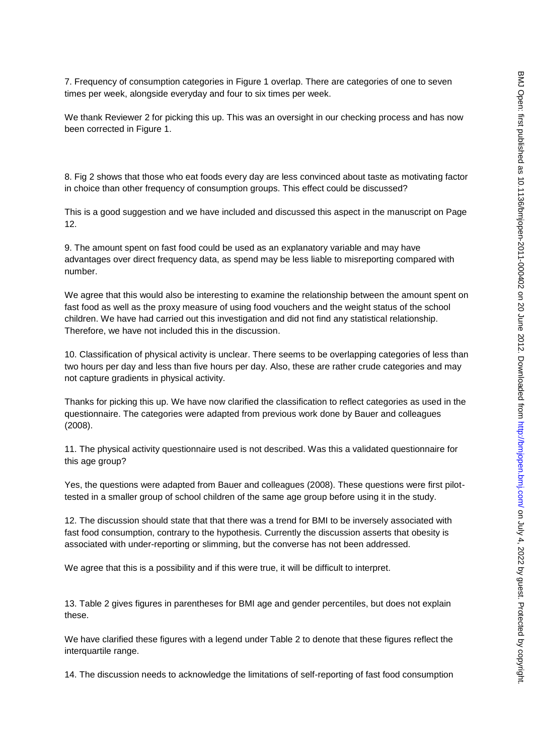7. Frequency of consumption categories in Figure 1 overlap. There are categories of one to seven times per week, alongside everyday and four to six times per week.

We thank Reviewer 2 for picking this up. This was an oversight in our checking process and has now been corrected in Figure 1.

8. Fig 2 shows that those who eat foods every day are less convinced about taste as motivating factor in choice than other frequency of consumption groups. This effect could be discussed?

This is a good suggestion and we have included and discussed this aspect in the manuscript on Page 12.

9. The amount spent on fast food could be used as an explanatory variable and may have advantages over direct frequency data, as spend may be less liable to misreporting compared with number.

We agree that this would also be interesting to examine the relationship between the amount spent on fast food as well as the proxy measure of using food vouchers and the weight status of the school children. We have had carried out this investigation and did not find any statistical relationship. Therefore, we have not included this in the discussion.

10. Classification of physical activity is unclear. There seems to be overlapping categories of less than two hours per day and less than five hours per day. Also, these are rather crude categories and may not capture gradients in physical activity.

Thanks for picking this up. We have now clarified the classification to reflect categories as used in the questionnaire. The categories were adapted from previous work done by Bauer and colleagues (2008).

11. The physical activity questionnaire used is not described. Was this a validated questionnaire for this age group?

Yes, the questions were adapted from Bauer and colleagues (2008). These questions were first pilottested in a smaller group of school children of the same age group before using it in the study.

12. The discussion should state that that there was a trend for BMI to be inversely associated with fast food consumption, contrary to the hypothesis. Currently the discussion asserts that obesity is associated with under-reporting or slimming, but the converse has not been addressed.

We agree that this is a possibility and if this were true, it will be difficult to interpret.

13. Table 2 gives figures in parentheses for BMI age and gender percentiles, but does not explain these.

We have clarified these figures with a legend under Table 2 to denote that these figures reflect the interquartile range.

14. The discussion needs to acknowledge the limitations of self-reporting of fast food consumption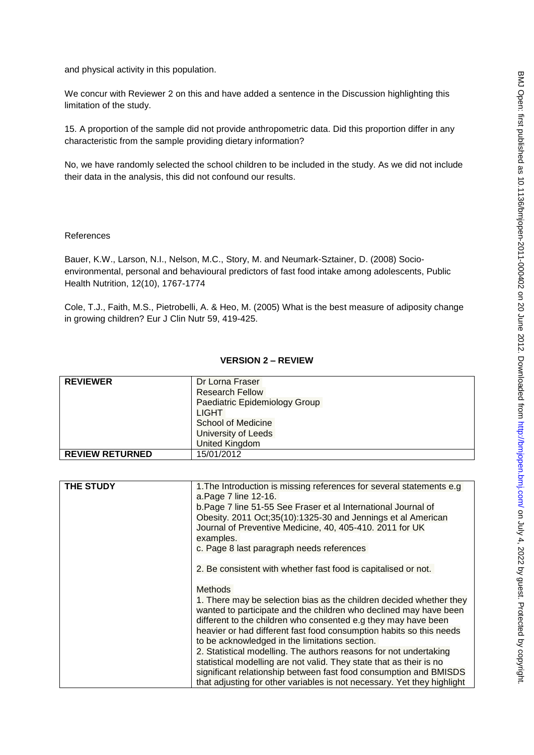and physical activity in this population.

We concur with Reviewer 2 on this and have added a sentence in the Discussion highlighting this limitation of the study.

15. A proportion of the sample did not provide anthropometric data. Did this proportion differ in any characteristic from the sample providing dietary information?

No, we have randomly selected the school children to be included in the study. As we did not include their data in the analysis, this did not confound our results.

#### References

Bauer, K.W., Larson, N.I., Nelson, M.C., Story, M. and Neumark-Sztainer, D. (2008) Socioenvironmental, personal and behavioural predictors of fast food intake among adolescents, Public Health Nutrition, 12(10), 1767-1774

Cole, T.J., Faith, M.S., Pietrobelli, A. & Heo, M. (2005) What is the best measure of adiposity change in growing children? Eur J Clin Nutr 59, 419-425.

### **VERSION 2 – REVIEW**

| <b>REVIEWER</b>        | Dr Lorna Fraser               |
|------------------------|-------------------------------|
|                        | <b>Research Fellow</b>        |
|                        | Paediatric Epidemiology Group |
|                        | LIGHT                         |
|                        | <b>School of Medicine</b>     |
|                        | University of Leeds           |
|                        | <b>United Kingdom</b>         |
| <b>REVIEW RETURNED</b> | 15/01/2012                    |

| <b>THE STUDY</b> | 1. The Introduction is missing references for several statements e.g.<br>a. Page 7 line 12-16.                                                                                                                                                                                           |
|------------------|------------------------------------------------------------------------------------------------------------------------------------------------------------------------------------------------------------------------------------------------------------------------------------------|
|                  | b. Page 7 line 51-55 See Fraser et al International Journal of<br>Obesity. 2011 Oct;35(10):1325-30 and Jennings et al American<br>Journal of Preventive Medicine, 40, 405-410. 2011 for UK<br>examples.                                                                                  |
|                  | c. Page 8 last paragraph needs references                                                                                                                                                                                                                                                |
|                  | 2. Be consistent with whether fast food is capitalised or not.                                                                                                                                                                                                                           |
|                  | <b>Methods</b>                                                                                                                                                                                                                                                                           |
|                  | 1. There may be selection bias as the children decided whether they<br>wanted to participate and the children who declined may have been<br>different to the children who consented e.g they may have been<br>heavier or had different fast food consumption habits so this needs        |
|                  | to be acknowledged in the limitations section.                                                                                                                                                                                                                                           |
|                  | 2. Statistical modelling. The authors reasons for not undertaking<br>statistical modelling are not valid. They state that as their is no<br>significant relationship between fast food consumption and BMISDS<br>that adjusting for other variables is not necessary. Yet they highlight |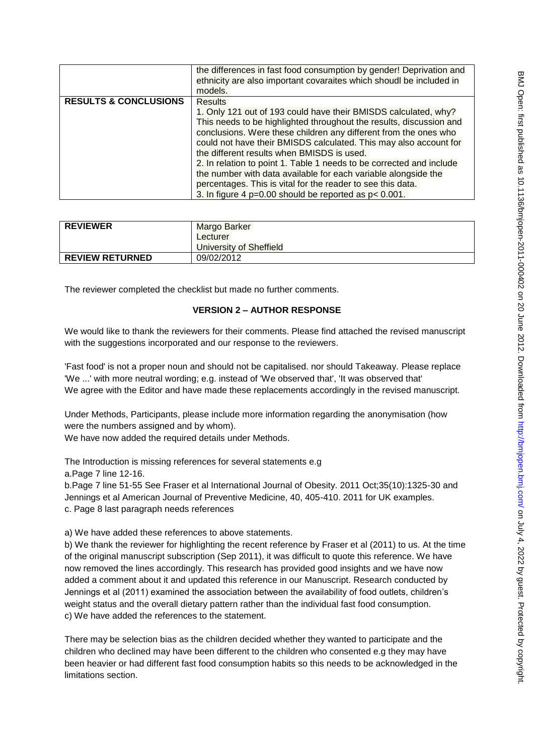|                                  | the differences in fast food consumption by gender! Deprivation and<br>ethnicity are also important covaraites which shoudl be included in<br>models.                                                                                                                                                                                                                                                                                                                                                                                                                                                                   |
|----------------------------------|-------------------------------------------------------------------------------------------------------------------------------------------------------------------------------------------------------------------------------------------------------------------------------------------------------------------------------------------------------------------------------------------------------------------------------------------------------------------------------------------------------------------------------------------------------------------------------------------------------------------------|
| <b>RESULTS &amp; CONCLUSIONS</b> | <b>Results</b><br>1. Only 121 out of 193 could have their BMISDS calculated, why?<br>This needs to be highlighted throughout the results, discussion and<br>conclusions. Were these children any different from the ones who<br>could not have their BMISDS calculated. This may also account for<br>the different results when BMISDS is used.<br>2. In relation to point 1. Table 1 needs to be corrected and include<br>the number with data available for each variable alongside the<br>percentages. This is vital for the reader to see this data.<br>3. In figure 4 $p=0.00$ should be reported as $p < 0.001$ . |

| <b>REVIEWER</b>        | Margo Barker            |
|------------------------|-------------------------|
|                        | Lecturer                |
|                        | University of Sheffield |
| <b>REVIEW RETURNED</b> | 09/02/2012              |

The reviewer completed the checklist but made no further comments.

### **VERSION 2 – AUTHOR RESPONSE**

We would like to thank the reviewers for their comments. Please find attached the revised manuscript with the suggestions incorporated and our response to the reviewers.

'Fast food' is not a proper noun and should not be capitalised. nor should Takeaway. Please replace 'We ...' with more neutral wording; e.g. instead of 'We observed that', 'It was observed that' We agree with the Editor and have made these replacements accordingly in the revised manuscript.

Under Methods, Participants, please include more information regarding the anonymisation (how were the numbers assigned and by whom).

We have now added the required details under Methods.

The Introduction is missing references for several statements e.g

a.Page 7 line 12-16.

b.Page 7 line 51-55 See Fraser et al International Journal of Obesity. 2011 Oct;35(10):1325-30 and Jennings et al American Journal of Preventive Medicine, 40, 405-410. 2011 for UK examples. c. Page 8 last paragraph needs references

a) We have added these references to above statements.

b) We thank the reviewer for highlighting the recent reference by Fraser et al (2011) to us. At the time of the original manuscript subscription (Sep 2011), it was difficult to quote this reference. We have now removed the lines accordingly. This research has provided good insights and we have now added a comment about it and updated this reference in our Manuscript. Research conducted by Jennings et al (2011) examined the association between the availability of food outlets, children's weight status and the overall dietary pattern rather than the individual fast food consumption. c) We have added the references to the statement.

There may be selection bias as the children decided whether they wanted to participate and the children who declined may have been different to the children who consented e.g they may have been heavier or had different fast food consumption habits so this needs to be acknowledged in the limitations section.